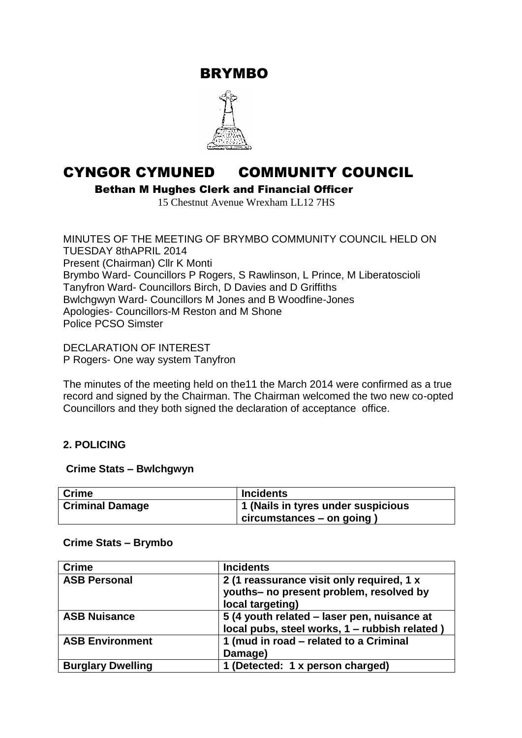BRYMBO



# CYNGOR CYMUNED COMMUNITY COUNCIL

Bethan M Hughes Clerk and Financial Officer

15 Chestnut Avenue Wrexham LL12 7HS

MINUTES OF THE MEETING OF BRYMBO COMMUNITY COUNCIL HELD ON TUESDAY 8thAPRIL 2014 Present (Chairman) Cllr K Monti Brymbo Ward- Councillors P Rogers, S Rawlinson, L Prince, M Liberatoscioli Tanyfron Ward- Councillors Birch, D Davies and D Griffiths Bwlchgwyn Ward- Councillors M Jones and B Woodfine-Jones Apologies- Councillors-M Reston and M Shone Police PCSO Simster

DECLARATION OF INTEREST P Rogers- One way system Tanyfron

The minutes of the meeting held on the11 the March 2014 were confirmed as a true record and signed by the Chairman. The Chairman welcomed the two new co-opted Councillors and they both signed the declaration of acceptance office.

# **2. POLICING**

#### **Crime Stats – Bwlchgwyn**

| <b>Crime</b>           | <b>Incidents</b>                   |
|------------------------|------------------------------------|
| <b>Criminal Damage</b> | 1 (Nails in tyres under suspicious |
|                        | $ $ circumstances – on going       |

# **Crime Stats – Brymbo**

| <b>Crime</b>             | <b>Incidents</b>                                                                                         |
|--------------------------|----------------------------------------------------------------------------------------------------------|
| <b>ASB Personal</b>      | 2 (1 reassurance visit only required, 1 x<br>youths- no present problem, resolved by<br>local targeting) |
| <b>ASB Nuisance</b>      | 5 (4 youth related – laser pen, nuisance at<br>local pubs, steel works, 1 - rubbish related)             |
| <b>ASB Environment</b>   | 1 (mud in road – related to a Criminal<br>Damage)                                                        |
| <b>Burglary Dwelling</b> | 1 (Detected: 1 x person charged)                                                                         |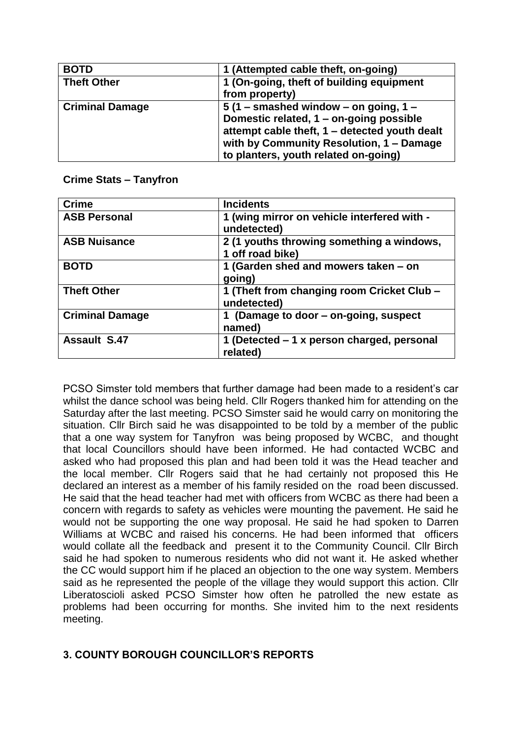| <b>BOTD</b>            | 1 (Attempted cable theft, on-going)           |
|------------------------|-----------------------------------------------|
| <b>Theft Other</b>     | 1 (On-going, theft of building equipment      |
|                        | from property)                                |
| <b>Criminal Damage</b> | 5 (1 – smashed window – on going, $1$ –       |
|                        | Domestic related, 1 – on-going possible       |
|                        | attempt cable theft, 1 - detected youth dealt |
|                        | with by Community Resolution, 1 - Damage      |
|                        | to planters, youth related on-going)          |

#### **Crime Stats – Tanyfron**

| <b>Crime</b>           | <b>Incidents</b>                                              |
|------------------------|---------------------------------------------------------------|
| <b>ASB Personal</b>    | 1 (wing mirror on vehicle interfered with -<br>undetected)    |
| <b>ASB Nuisance</b>    | 2 (1 youths throwing something a windows,<br>1 off road bike) |
| <b>BOTD</b>            | 1 (Garden shed and mowers taken - on<br>going)                |
| <b>Theft Other</b>     | 1 (Theft from changing room Cricket Club -<br>undetected)     |
| <b>Criminal Damage</b> | 1 (Damage to door - on-going, suspect<br>named)               |
| <b>Assault S.47</b>    | 1 (Detected – 1 x person charged, personal<br>related)        |

PCSO Simster told members that further damage had been made to a resident's car whilst the dance school was being held. Cllr Rogers thanked him for attending on the Saturday after the last meeting. PCSO Simster said he would carry on monitoring the situation. Cllr Birch said he was disappointed to be told by a member of the public that a one way system for Tanyfron was being proposed by WCBC, and thought that local Councillors should have been informed. He had contacted WCBC and asked who had proposed this plan and had been told it was the Head teacher and the local member. Cllr Rogers said that he had certainly not proposed this He declared an interest as a member of his family resided on the road been discussed. He said that the head teacher had met with officers from WCBC as there had been a concern with regards to safety as vehicles were mounting the pavement. He said he would not be supporting the one way proposal. He said he had spoken to Darren Williams at WCBC and raised his concerns. He had been informed that officers would collate all the feedback and present it to the Community Council. Cllr Birch said he had spoken to numerous residents who did not want it. He asked whether the CC would support him if he placed an objection to the one way system. Members said as he represented the people of the village they would support this action. Cllr Liberatoscioli asked PCSO Simster how often he patrolled the new estate as problems had been occurring for months. She invited him to the next residents meeting.

# **3. COUNTY BOROUGH COUNCILLOR'S REPORTS**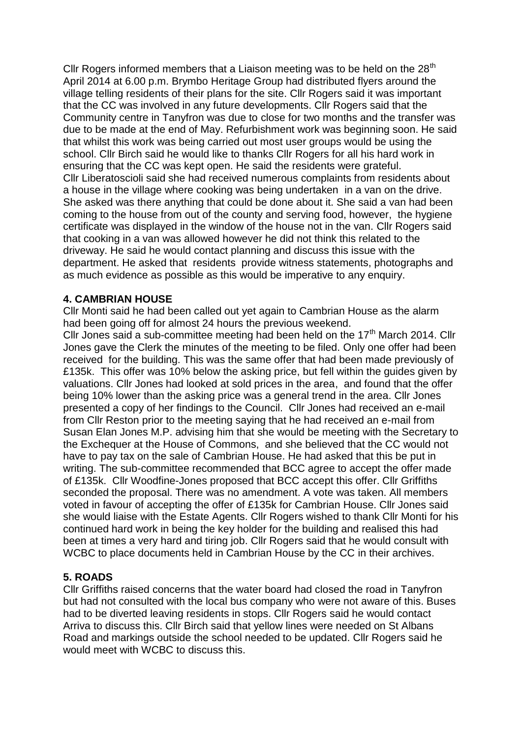Cllr Rogers informed members that a Liaison meeting was to be held on the  $28<sup>th</sup>$ April 2014 at 6.00 p.m. Brymbo Heritage Group had distributed flyers around the village telling residents of their plans for the site. Cllr Rogers said it was important that the CC was involved in any future developments. Cllr Rogers said that the Community centre in Tanyfron was due to close for two months and the transfer was due to be made at the end of May. Refurbishment work was beginning soon. He said that whilst this work was being carried out most user groups would be using the school. Cllr Birch said he would like to thanks Cllr Rogers for all his hard work in ensuring that the CC was kept open. He said the residents were grateful. Cllr Liberatoscioli said she had received numerous complaints from residents about a house in the village where cooking was being undertaken in a van on the drive. She asked was there anything that could be done about it. She said a van had been coming to the house from out of the county and serving food, however, the hygiene certificate was displayed in the window of the house not in the van. Cllr Rogers said that cooking in a van was allowed however he did not think this related to the driveway. He said he would contact planning and discuss this issue with the department. He asked that residents provide witness statements, photographs and as much evidence as possible as this would be imperative to any enquiry.

#### **4. CAMBRIAN HOUSE**

Cllr Monti said he had been called out yet again to Cambrian House as the alarm had been going off for almost 24 hours the previous weekend.

Cllr Jones said a sub-committee meeting had been held on the  $17<sup>th</sup>$  March 2014. Cllr Jones gave the Clerk the minutes of the meeting to be filed. Only one offer had been received for the building. This was the same offer that had been made previously of £135k. This offer was 10% below the asking price, but fell within the guides given by valuations. Cllr Jones had looked at sold prices in the area, and found that the offer being 10% lower than the asking price was a general trend in the area. Cllr Jones presented a copy of her findings to the Council. Cllr Jones had received an e-mail from Cllr Reston prior to the meeting saying that he had received an e-mail from Susan Elan Jones M.P. advising him that she would be meeting with the Secretary to the Exchequer at the House of Commons, and she believed that the CC would not have to pay tax on the sale of Cambrian House. He had asked that this be put in writing. The sub-committee recommended that BCC agree to accept the offer made of £135k. Cllr Woodfine-Jones proposed that BCC accept this offer. Cllr Griffiths seconded the proposal. There was no amendment. A vote was taken. All members voted in favour of accepting the offer of £135k for Cambrian House. Cllr Jones said she would liaise with the Estate Agents. Cllr Rogers wished to thank Cllr Monti for his continued hard work in being the key holder for the building and realised this had been at times a very hard and tiring job. Cllr Rogers said that he would consult with WCBC to place documents held in Cambrian House by the CC in their archives.

#### **5. ROADS**

Cllr Griffiths raised concerns that the water board had closed the road in Tanyfron but had not consulted with the local bus company who were not aware of this. Buses had to be diverted leaving residents in stops. Cllr Rogers said he would contact Arriva to discuss this. Cllr Birch said that yellow lines were needed on St Albans Road and markings outside the school needed to be updated. Cllr Rogers said he would meet with WCBC to discuss this.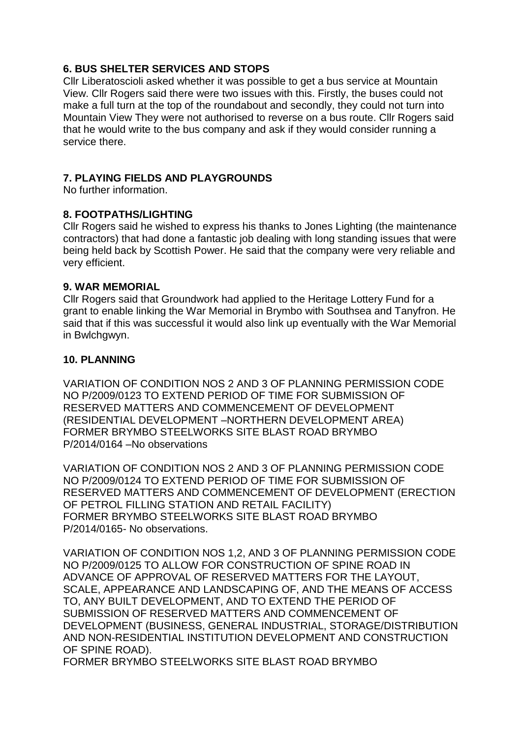## **6. BUS SHELTER SERVICES AND STOPS**

Cllr Liberatoscioli asked whether it was possible to get a bus service at Mountain View. Cllr Rogers said there were two issues with this. Firstly, the buses could not make a full turn at the top of the roundabout and secondly, they could not turn into Mountain View They were not authorised to reverse on a bus route. Cllr Rogers said that he would write to the bus company and ask if they would consider running a service there.

## **7. PLAYING FIELDS AND PLAYGROUNDS**

No further information.

#### **8. FOOTPATHS/LIGHTING**

Cllr Rogers said he wished to express his thanks to Jones Lighting (the maintenance contractors) that had done a fantastic job dealing with long standing issues that were being held back by Scottish Power. He said that the company were very reliable and very efficient.

#### **9. WAR MEMORIAL**

Cllr Rogers said that Groundwork had applied to the Heritage Lottery Fund for a grant to enable linking the War Memorial in Brymbo with Southsea and Tanyfron. He said that if this was successful it would also link up eventually with the War Memorial in Bwlchgwyn.

#### **10. PLANNING**

VARIATION OF CONDITION NOS 2 AND 3 OF PLANNING PERMISSION CODE NO P/2009/0123 TO EXTEND PERIOD OF TIME FOR SUBMISSION OF RESERVED MATTERS AND COMMENCEMENT OF DEVELOPMENT (RESIDENTIAL DEVELOPMENT –NORTHERN DEVELOPMENT AREA) FORMER BRYMBO STEELWORKS SITE BLAST ROAD BRYMBO P/2014/0164 –No observations

VARIATION OF CONDITION NOS 2 AND 3 OF PLANNING PERMISSION CODE NO P/2009/0124 TO EXTEND PERIOD OF TIME FOR SUBMISSION OF RESERVED MATTERS AND COMMENCEMENT OF DEVELOPMENT (ERECTION OF PETROL FILLING STATION AND RETAIL FACILITY) FORMER BRYMBO STEELWORKS SITE BLAST ROAD BRYMBO P/2014/0165- No observations.

VARIATION OF CONDITION NOS 1,2, AND 3 OF PLANNING PERMISSION CODE NO P/2009/0125 TO ALLOW FOR CONSTRUCTION OF SPINE ROAD IN ADVANCE OF APPROVAL OF RESERVED MATTERS FOR THE LAYOUT, SCALE, APPEARANCE AND LANDSCAPING OF, AND THE MEANS OF ACCESS TO, ANY BUILT DEVELOPMENT, AND TO EXTEND THE PERIOD OF SUBMISSION OF RESERVED MATTERS AND COMMENCEMENT OF DEVELOPMENT (BUSINESS, GENERAL INDUSTRIAL, STORAGE/DISTRIBUTION AND NON-RESIDENTIAL INSTITUTION DEVELOPMENT AND CONSTRUCTION OF SPINE ROAD).

FORMER BRYMBO STEELWORKS SITE BLAST ROAD BRYMBO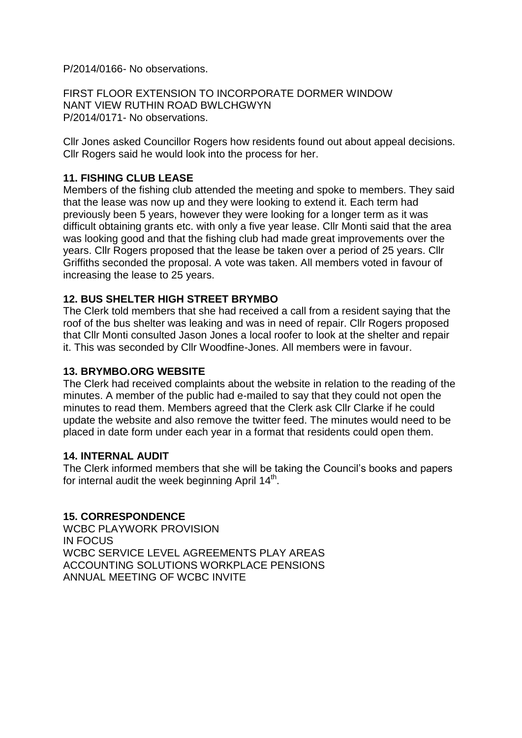P/2014/0166- No observations.

FIRST FLOOR EXTENSION TO INCORPORATE DORMER WINDOW NANT VIEW RUTHIN ROAD BWLCHGWYN P/2014/0171- No observations.

Cllr Jones asked Councillor Rogers how residents found out about appeal decisions. Cllr Rogers said he would look into the process for her.

## **11. FISHING CLUB LEASE**

Members of the fishing club attended the meeting and spoke to members. They said that the lease was now up and they were looking to extend it. Each term had previously been 5 years, however they were looking for a longer term as it was difficult obtaining grants etc. with only a five year lease. Cllr Monti said that the area was looking good and that the fishing club had made great improvements over the years. Cllr Rogers proposed that the lease be taken over a period of 25 years. Cllr Griffiths seconded the proposal. A vote was taken. All members voted in favour of increasing the lease to 25 years.

#### **12. BUS SHELTER HIGH STREET BRYMBO**

The Clerk told members that she had received a call from a resident saying that the roof of the bus shelter was leaking and was in need of repair. Cllr Rogers proposed that Cllr Monti consulted Jason Jones a local roofer to look at the shelter and repair it. This was seconded by Cllr Woodfine-Jones. All members were in favour.

#### **13. BRYMBO.ORG WEBSITE**

The Clerk had received complaints about the website in relation to the reading of the minutes. A member of the public had e-mailed to say that they could not open the minutes to read them. Members agreed that the Clerk ask Cllr Clarke if he could update the website and also remove the twitter feed. The minutes would need to be placed in date form under each year in a format that residents could open them.

#### **14. INTERNAL AUDIT**

The Clerk informed members that she will be taking the Council's books and papers for internal audit the week beginning April  $14<sup>th</sup>$ .

#### **15. CORRESPONDENCE**

WCBC PLAYWORK PROVISION IN FOCUS WCBC SERVICE LEVEL AGREEMENTS PLAY AREAS ACCOUNTING SOLUTIONS WORKPLACE PENSIONS ANNUAL MEETING OF WCBC INVITE